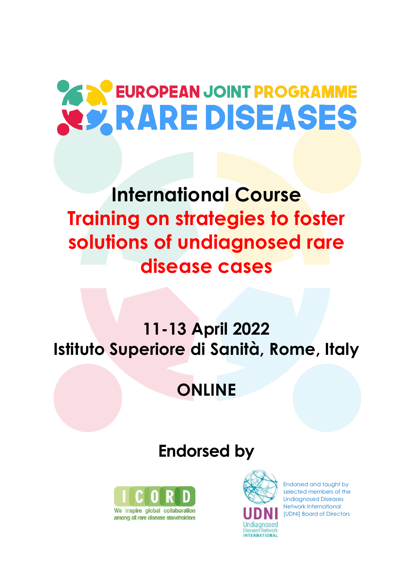# **EUROPEAN JOINT PROGRAMME X2 RARE DISEASES**

## **International Course Training on strategies to foster solutions of undiagnosed rare disease cases**

## **11-13 April 2022 Istituto Superiore di Sanità, Rome, Italy**

### **ONLINE**

### **Endorsed by**





Endorsed and taught by selected members of the Undiagnosed Diseases Network International [UDNI] Board of Directors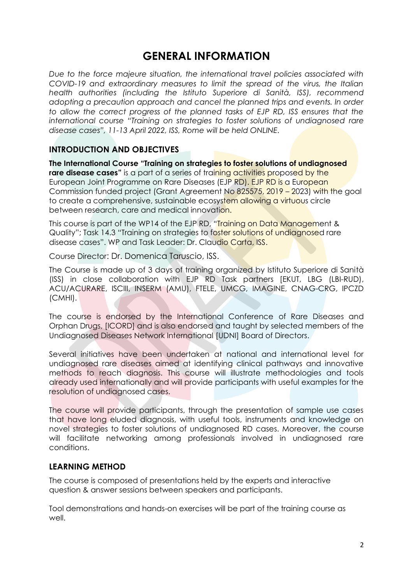### **GENERAL INFORMATION**

*Due to the force majeure situation, the international travel policies associated with COVID-19 and extraordinary measures to limit the spread of the virus, the Italian health authorities (including the Istituto Superiore di Sanità, ISS), recommend*  adopting a precaution approach and cancel the planned trips and events. In order to allow the correct progress of the planned tasks of EJP RD, ISS ensures that the *international course "Training on strategies to foster solutions of undiagnosed rare disease cases", 11-13 April 2022, ISS, Rome will be held ONLINE.*

#### **INTRODUCTION AND OBJECTIVES**

**The International Course "Training on strategies to foster solutions of undiagnosed rare disease cases"** is a part of a series of training activities proposed by the European Joint Programme on Rare Diseases (EJP RD). EJP RD is a European Commission funded project (Grant Agreement No 825575, 2019 – 2023) with the goal to create a comprehensive, sustainable ecosystem allowing a virtuous circle between research, care and medical innovation.

This course is part of the WP14 of the EJP RD, "Training on Data Management & Quality"; Task 14.3 "Training on strategies to foster solutions of undiagnosed rare disease cases". WP and Task Leader: Dr. Claudio Carta, ISS.

Course Director: Dr. Domenica Taruscio, ISS.

The Course is made up of 3 days of training organized by Istituto Superiore di Sanità (ISS) in close collaboration with EJP RD Task partners [EKUT, LBG (LBI-RUD), ACU/ACURARE, ISCIII, INSERM (AMU), FTELE, UMCG, IMAGINE, CNAG-CRG, IPCZD (CMHI).

The course is endorsed by the International Conference of Rare Diseases and Orphan Drugs, [ICORD] and is also endorsed and taught by selected members of the Undiagnosed Diseases Network International [UDNI] Board of Directors.

Several initiatives have been undertaken at national and international level for undiagnosed rare diseases aimed at identifying clinical pathways and innovative methods to reach diagnosis. This course will illustrate methodologies and tools already used internationally and will provide participants with useful examples for the resolution of undiagnosed cases.

The course will provide participants, through the presentation of sample use cases that have long eluded diagnosis, with useful tools, instruments and knowledge on novel strategies to foster solutions of undiagnosed RD cases. Moreover, the course will facilitate networking among professionals involved in undiagnosed rare conditions.

#### **LEARNING METHOD**

The course is composed of presentations held by the experts and interactive question & answer sessions between speakers and participants.

Tool demonstrations and hands-on exercises will be part of the training course as well.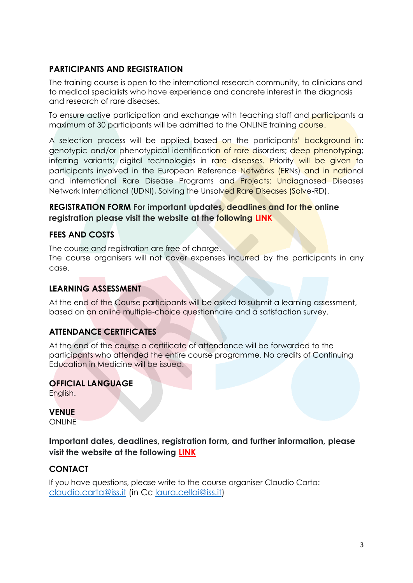#### **PARTICIPANTS AND REGISTRATION**

The training course is open to the international research community, to clinicians and to medical specialists who have experience and concrete interest in the diagnosis and research of rare diseases.

To ensure active participation and exchange with teaching staff and participants a maximum of 30 participants will be admitted to the ONLINE training course.

A selection process will be applied based on the participants' background in: genotypic and/or phenotypical identification of rare disorders; deep phenotyping; inferring variants; digital technologies in rare diseases. Priority will be given to participants involved in the European Reference Networks (ERNs) and in national and international Rare Disease Programs and Projects: Undiagnosed Diseases Network International (UDNI), Solving the Unsolved Rare Diseases (Solve-RD).

#### **REGISTRATION FORM For important updates, deadlines and for the online registration please visit the website at the following [LINK](https://www.ejprarediseases.org/event/training-on-strategies-to-foster-solutions-of-undiagnosed-rare-disease-cases-2/)**

#### **FEES AND COSTS**

The course and registration are free of charge. The course organisers will not cover expenses incurred by the participants in any case.

#### **LEARNING ASSESSMENT**

At the end of the Course participants will be asked to submit a learning assessment, based on an online multiple-choice questionnaire and a satisfaction survey.

#### **ATTENDANCE CERTIFICATES**

At the end of the course a certificate of attendance will be forwarded to the participants who attended the entire course programme. No credits of Continuing Education in Medicine will be issued.

#### **OFFICIAL LANGUAGE**

English.

#### **VENUE**

**ONLINE** 

**Important dates, deadlines, registration form, and further information, please visit the website at the following [LINK](https://www.ejprarediseases.org/event/training-on-strategies-to-foster-solutions-of-undiagnosed-rare-disease-cases-2/)**

#### **CONTACT**

If you have questions, please write to the course organiser Claudio Carta: [claudio.carta@iss.it](mailto:claudio.carta@iss.it) (in Cc [laura.cellai@iss.it\)](mailto:laura.cellai@iss.it)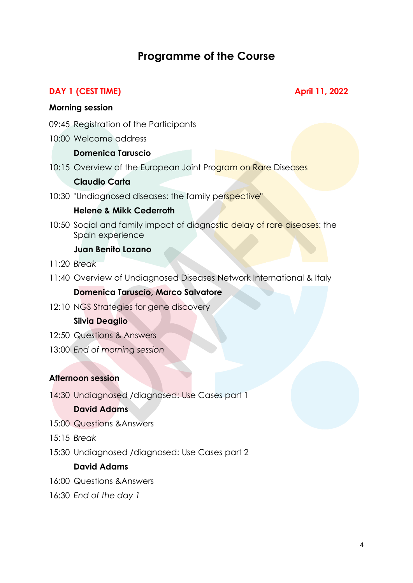### **Programme of the Course**

#### **DAY 1 (CEST TIME) April 11, 2022**

#### **Morning session**

- 09:45 Registration of the Participants
- 10:00 Welcome address

#### **Domenica Taruscio**

10:15 Overview of the European Joint Program on Rare Diseases

#### **Claudio Carta**

10:30 "Undiagnosed diseases: the family perspective"

#### **Helene & Mikk Cederroth**

10:50 Social and family impact of diagnostic delay of rare diseases: the Spain experience

#### **Juan Benito Lozano**

- 11:20 *Break*
- 11:40 Overview of Undiagnosed Diseases Network International & Italy

#### **Domenica Taruscio, Marco Salvatore**

12:10 NGS Strategies for gene discovery

#### **Silvia Deaglio**

- 12:50 Questions & Answers
- 13:00 *End of morning session*

#### **Afternoon session**

14:30 Undiagnosed /diagnosed: Use Cases part 1

#### **David Adams**

- 15:00 Questions &Answers
- 15:15 *Break*
- 15:30 Undiagnosed /diagnosed: Use Cases part 2

#### **David Adams**

- 16:00 Questions &Answers
- 16:30 *End of the day 1*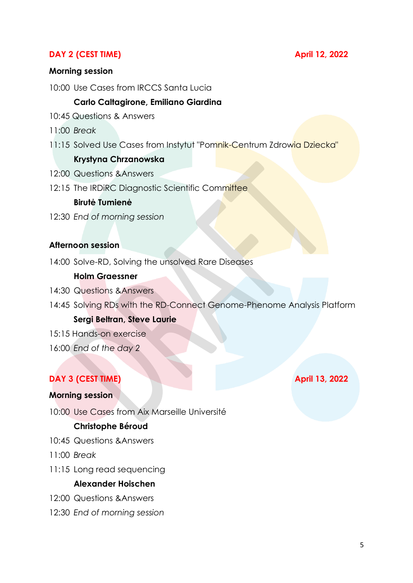#### **DAY 2 (CEST TIME) April 12, 2022**

#### **Morning session**

10:00 Use Cases from IRCCS Santa Lucia

#### **Carlo Caltagirone, Emiliano Giardina**

- 10:45 Questions & Answers
- 11:00 *Break*
- 11:15 Solved Use Cases from Instytut "Pomnik-Centrum Zdrowia Dziecka"

#### **Krystyna Chrzanowska**

- 12:00 Questions &Answers
- 12:15 The IRDIRC Diagnostic Scientific Committee

#### **Birutė Tumienė**

12:30 *End of morning session*

#### **Afternoon session**

14:00 Solve-RD, Solving the unsolved Rare Diseases

#### **Holm Graessner**

- 14:30 Questions &Answers
- 14:45 Solving RDs with the RD-Connect Genome-Phenome Analysis Platform

#### **Sergi Beltran, Steve Laurie**

- 15:15 Hands-on exercise
- 16:00 *End of the day 2*

#### **DAY 3 (CEST TIME) April 13, 2022**

#### **Morning session**

10:00 Use Cases from Aix Marseille Université

#### **Christophe Béroud**

- 10:45 Questions &Answers
- 11:00 *Break*
- 11:15 Long read sequencing

#### **Alexander Hoischen**

- 12:00 Questions &Answers
- 12:30 *End of morning session*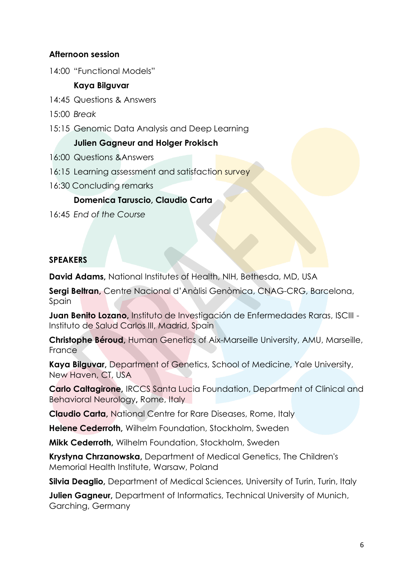#### **Afternoon session**

14:00 "Functional Models"

#### **Kaya Bilguvar**

- 14:45 Questions & Answers
- 15:00 *Break*
- 15:15 Genomic Data Analysis and Deep Learning

#### **Julien Gagneur and Holger Prokisch**

- 16:00 Questions &Answers
- 16:15 Learning assessment and satisfaction survey
- 16:30 Concluding remarks

#### **Domenica Taruscio, Claudio Carta**

16:45 *End of the Course*

#### **SPEAKERS**

**David Adams,** National Institutes of Health, NIH, Bethesda, MD, USA

**Sergi Beltran,** Centre Nacional d'Anàlisi Genòmica, CNAG-CRG, Barcelona, Spain

**Juan Benito Lozano,** Instituto de Investigación de Enfermedades Raras, ISCIII - Instituto de Salud Carlos III, Madrid, Spain

**Christophe Béroud,** Human Genetics of Aix-Marseille University, AMU, Marseille, France

**Kaya Bilguvar,** Department of Genetics, School of Medicine, Yale University, New Haven, CT, USA

**Carlo Caltagirone,** IRCCS Santa Lucia Foundation, Department of Clinical and Behavioral Neurology**,** Rome, Italy

**Claudio Carta,** National Centre for Rare Diseases, Rome, Italy

**Helene Cederroth,** Wilhelm Foundation, Stockholm, Sweden

**Mikk Cederroth,** Wilhelm Foundation, Stockholm, Sweden

**Krystyna Chrzanowska,** Department of Medical Genetics, The Children's Memorial Health Institute, Warsaw, Poland

**Silvia Deaglio,** Department of Medical Sciences, University of Turin, Turin, Italy

**Julien Gagneur,** Department of Informatics, Technical University of Munich, Garching, Germany